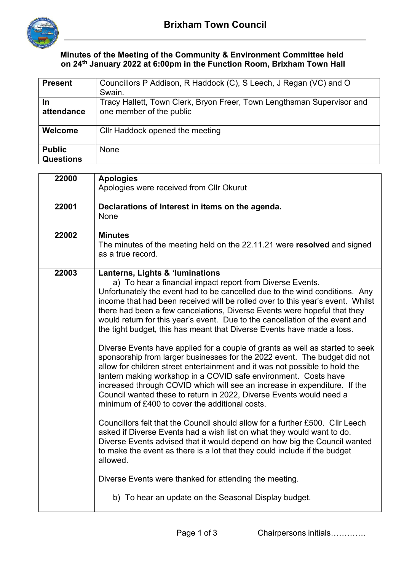

## **Minutes of the Meeting of the Community & Environment Committee held on 24th January 2022 at 6:00pm in the Function Room, Brixham Town Hall**

| <b>Present</b>                    | Councillors P Addison, R Haddock (C), S Leech, J Regan (VC) and O<br>Swain.                        |
|-----------------------------------|----------------------------------------------------------------------------------------------------|
| In<br>attendance                  | Tracy Hallett, Town Clerk, Bryon Freer, Town Lengthsman Supervisor and<br>one member of the public |
| Welcome                           | Cllr Haddock opened the meeting                                                                    |
| <b>Public</b><br><b>Questions</b> | <b>None</b>                                                                                        |

| 22000 | <b>Apologies</b><br>Apologies were received from Cllr Okurut                                                                                                                                                                                                                                                                                                                                                                                                                                                       |
|-------|--------------------------------------------------------------------------------------------------------------------------------------------------------------------------------------------------------------------------------------------------------------------------------------------------------------------------------------------------------------------------------------------------------------------------------------------------------------------------------------------------------------------|
| 22001 | Declarations of Interest in items on the agenda.<br>None                                                                                                                                                                                                                                                                                                                                                                                                                                                           |
| 22002 | <b>Minutes</b><br>The minutes of the meeting held on the 22.11.21 were resolved and signed<br>as a true record.                                                                                                                                                                                                                                                                                                                                                                                                    |
| 22003 | Lanterns, Lights & 'luminations<br>a) To hear a financial impact report from Diverse Events.<br>Unfortunately the event had to be cancelled due to the wind conditions. Any<br>income that had been received will be rolled over to this year's event. Whilst<br>there had been a few cancelations, Diverse Events were hopeful that they<br>would return for this year's event. Due to the cancellation of the event and<br>the tight budget, this has meant that Diverse Events have made a loss.                |
|       | Diverse Events have applied for a couple of grants as well as started to seek<br>sponsorship from larger businesses for the 2022 event. The budget did not<br>allow for children street entertainment and it was not possible to hold the<br>lantern making workshop in a COVID safe environment. Costs have<br>increased through COVID which will see an increase in expenditure. If the<br>Council wanted these to return in 2022, Diverse Events would need a<br>minimum of £400 to cover the additional costs. |
|       | Councillors felt that the Council should allow for a further £500. Cllr Leech<br>asked if Diverse Events had a wish list on what they would want to do.<br>Diverse Events advised that it would depend on how big the Council wanted<br>to make the event as there is a lot that they could include if the budget<br>allowed.                                                                                                                                                                                      |
|       | Diverse Events were thanked for attending the meeting.<br>b) To hear an update on the Seasonal Display budget.                                                                                                                                                                                                                                                                                                                                                                                                     |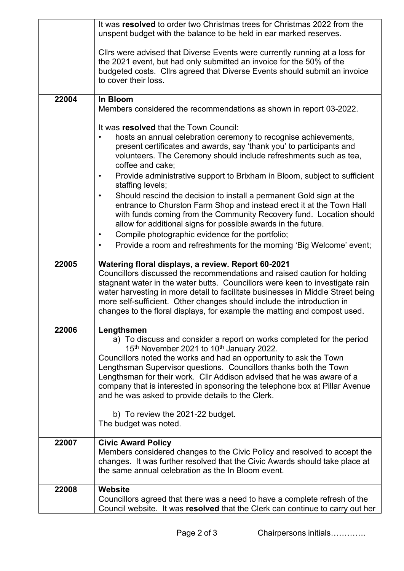|       | It was resolved to order two Christmas trees for Christmas 2022 from the<br>unspent budget with the balance to be held in ear marked reserves.                                                                                                                                                                                                                                                                                                                                                                                                                                                                                                                                                            |  |  |  |  |
|-------|-----------------------------------------------------------------------------------------------------------------------------------------------------------------------------------------------------------------------------------------------------------------------------------------------------------------------------------------------------------------------------------------------------------------------------------------------------------------------------------------------------------------------------------------------------------------------------------------------------------------------------------------------------------------------------------------------------------|--|--|--|--|
|       | Cllrs were advised that Diverse Events were currently running at a loss for<br>the 2021 event, but had only submitted an invoice for the 50% of the<br>budgeted costs. Cllrs agreed that Diverse Events should submit an invoice<br>to cover their loss.                                                                                                                                                                                                                                                                                                                                                                                                                                                  |  |  |  |  |
| 22004 | In Bloom                                                                                                                                                                                                                                                                                                                                                                                                                                                                                                                                                                                                                                                                                                  |  |  |  |  |
|       | Members considered the recommendations as shown in report 03-2022.                                                                                                                                                                                                                                                                                                                                                                                                                                                                                                                                                                                                                                        |  |  |  |  |
|       | It was resolved that the Town Council:<br>hosts an annual celebration ceremony to recognise achievements,<br>$\bullet$<br>present certificates and awards, say 'thank you' to participants and<br>volunteers. The Ceremony should include refreshments such as tea,<br>coffee and cake;<br>Provide administrative support to Brixham in Bloom, subject to sufficient<br>$\bullet$<br>staffing levels;<br>Should rescind the decision to install a permanent Gold sign at the<br>$\bullet$<br>entrance to Churston Farm Shop and instead erect it at the Town Hall<br>with funds coming from the Community Recovery fund. Location should<br>allow for additional signs for possible awards in the future. |  |  |  |  |
|       | Compile photographic evidence for the portfolio;<br>$\bullet$                                                                                                                                                                                                                                                                                                                                                                                                                                                                                                                                                                                                                                             |  |  |  |  |
|       | Provide a room and refreshments for the morning 'Big Welcome' event;<br>$\bullet$                                                                                                                                                                                                                                                                                                                                                                                                                                                                                                                                                                                                                         |  |  |  |  |
| 22005 | Watering floral displays, a review. Report 60-2021<br>Councillors discussed the recommendations and raised caution for holding<br>stagnant water in the water butts. Councillors were keen to investigate rain<br>water harvesting in more detail to facilitate businesses in Middle Street being<br>more self-sufficient. Other changes should include the introduction in<br>changes to the floral displays, for example the matting and compost used.                                                                                                                                                                                                                                                  |  |  |  |  |
| 22006 | Lengthsmen<br>a) To discuss and consider a report on works completed for the period<br>15th November 2021 to 10th January 2022.<br>Councillors noted the works and had an opportunity to ask the Town<br>Lengthsman Supervisor questions. Councillors thanks both the Town<br>Lengthsman for their work. Cllr Addison advised that he was aware of a<br>company that is interested in sponsoring the telephone box at Pillar Avenue<br>and he was asked to provide details to the Clerk.<br>b) To review the 2021-22 budget.                                                                                                                                                                              |  |  |  |  |
|       | The budget was noted.                                                                                                                                                                                                                                                                                                                                                                                                                                                                                                                                                                                                                                                                                     |  |  |  |  |
| 22007 | <b>Civic Award Policy</b><br>Members considered changes to the Civic Policy and resolved to accept the<br>changes. It was further resolved that the Civic Awards should take place at<br>the same annual celebration as the In Bloom event.                                                                                                                                                                                                                                                                                                                                                                                                                                                               |  |  |  |  |
| 22008 | Website                                                                                                                                                                                                                                                                                                                                                                                                                                                                                                                                                                                                                                                                                                   |  |  |  |  |
|       | Councillors agreed that there was a need to have a complete refresh of the<br>Council website. It was resolved that the Clerk can continue to carry out her                                                                                                                                                                                                                                                                                                                                                                                                                                                                                                                                               |  |  |  |  |